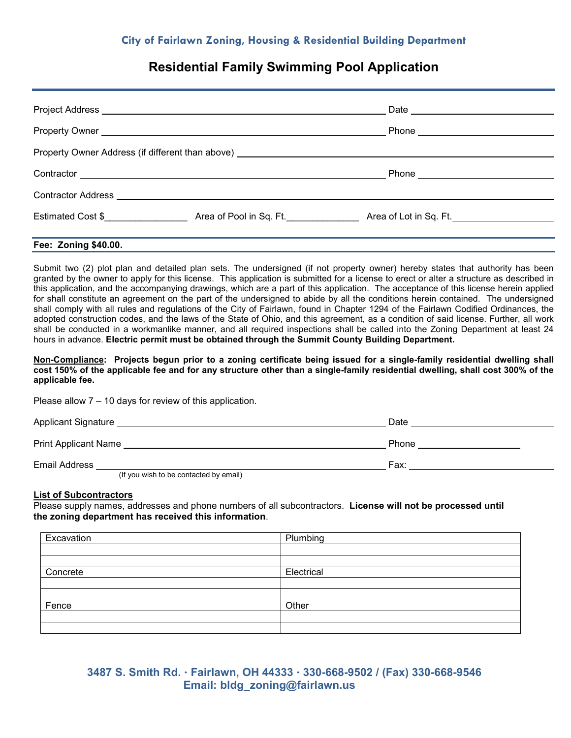# **Residential Family Swimming Pool Application**

|                      | Phone _____________________________                              |  |
|----------------------|------------------------------------------------------------------|--|
|                      |                                                                  |  |
|                      | Phone ____________________________                               |  |
|                      |                                                                  |  |
|                      | Estimated Cost \$ Area of Pool in Sq. Ft. Area of Lot in Sq. Ft. |  |
| Fee: Zoning \$40.00. |                                                                  |  |

Submit two (2) plot plan and detailed plan sets. The undersigned (if not property owner) hereby states that authority has been granted by the owner to apply for this license. This application is submitted for a license to erect or alter a structure as described in this application, and the accompanying drawings, which are a part of this application. The acceptance of this license herein applied for shall constitute an agreement on the part of the undersigned to abide by all the conditions herein contained. The undersigned shall comply with all rules and regulations of the City of Fairlawn, found in Chapter 1294 of the Fairlawn Codified Ordinances, the adopted construction codes, and the laws of the State of Ohio, and this agreement, as a condition of said license. Further, all work shall be conducted in a workmanlike manner, and all required inspections shall be called into the Zoning Department at least 24 hours in advance. **Electric permit must be obtained through the Summit County Building Department.**

#### **Non-Compliance: Projects begun prior to a zoning certificate being issued for a single-family residential dwelling shall cost 150% of the applicable fee and for any structure other than a single-family residential dwelling, shall cost 300% of the applicable fee.**

Please allow 7 – 10 days for review of this application.

| <b>Applicant Signature</b>  | Date  |
|-----------------------------|-------|
| <b>Print Applicant Name</b> | Phone |

Email Address Fax: (If you wish to be contacted by email)

### **List of Subcontractors**

Please supply names, addresses and phone numbers of all subcontractors. **License will not be processed until the zoning department has received this information**.

| Excavation | Plumbing   |
|------------|------------|
|            |            |
|            |            |
| Concrete   | Electrical |
|            |            |
|            |            |
| Fence      | Other      |
|            |            |
|            |            |

## **3487 S. Smith Rd. Fairlawn, OH 44333 330-668-9502 / (Fax) 330-668-9546 Email: bldg\_zoning@fairlawn.us**